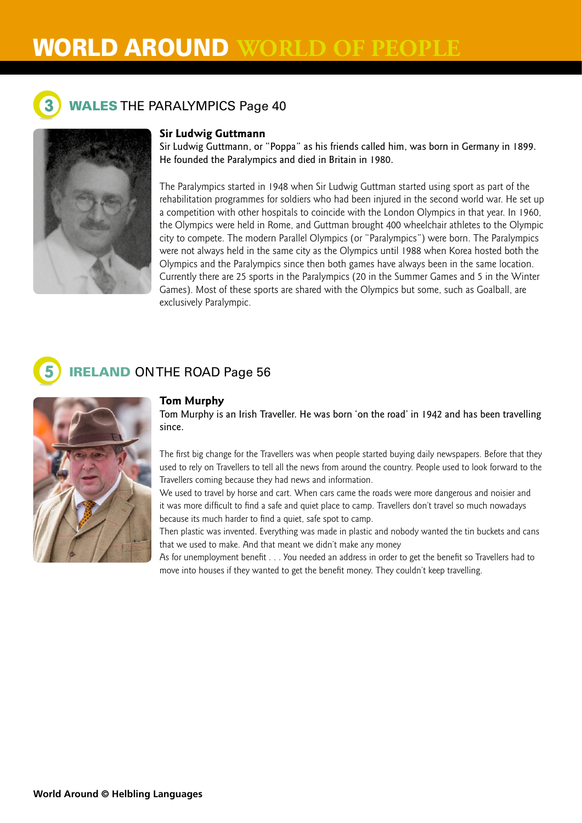# **WORLD AROUND**



## **WALES THE PARALYMPICS Page 40**



## **Sir Ludwig Guttmann**

Sir Ludwig Guttmann, or "Poppa" as his friends called him, was born in Germany in 1899. He founded the Paralympics and died in Britain in 1980.

The Paralympics started in 1948 when Sir Ludwig Guttman started using sport as part of the rehabilitation programmes for soldiers who had been injured in the second world war. He set up a competition with other hospitals to coincide with the London Olympics in that year. In 1960, the Olympics were held in Rome, and Guttman brought 400 wheelchair athletes to the Olympic city to compete. The modern Parallel Olympics (or "Paralympics") were born. The Paralympics were not always held in the same city as the Olympics until 1988 when Korea hosted both the Olympics and the Paralympics since then both games have always been in the same location. Currently there are 25 sports in the Paralympics (20 in the Summer Games and 5 in the Winter Games). Most of these sports are shared with the Olympics but some, such as Goalball, are exclusively Paralympic.

## **IRELAND ON THE ROAD Page 56**



Tom Murphy is an Irish Traveller. He was born 'on the road' in 1942 and has been travelling since.

The first big change for the Travellers was when people started buying daily newspapers. Before that they used to rely on Travellers to tell all the news from around the country. People used to look forward to the Travellers coming because they had news and information.

We used to travel by horse and cart. When cars came the roads were more dangerous and noisier and it was more difficult to find a safe and quiet place to camp. Travellers don't travel so much nowadays because its much harder to find a quiet, safe spot to camp.

Then plastic was invented. Everything was made in plastic and nobody wanted the tin buckets and cans that we used to make. And that meant we didn't make any money

As for unemployment benefit . . . You needed an address in order to get the benefit so Travellers had to move into houses if they wanted to get the benefit money. They couldn't keep travelling.

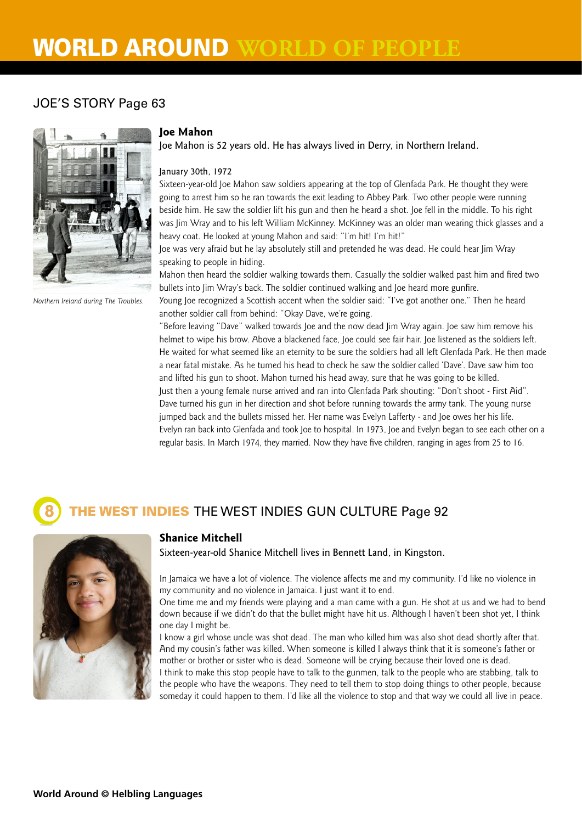# **WORLD AROUND**

## JOE'S STORY Page 63



*Northern Ireland during The Troubles.*

#### **Joe Mahon**

Joe Mahon is 52 years old. He has always lived in Derry, in Northern Ireland.

#### January 30th, 1972

Sixteen-year-old Joe Mahon saw soldiers appearing at the top of Glenfada Park. He thought they were going to arrest him so he ran towards the exit leading to Abbey Park. Two other people were running beside him. He saw the soldier lift his gun and then he heard a shot. Joe fell in the middle. To his right was Jim Wray and to his left William McKinney. McKinney was an older man wearing thick glasses and a heavy coat. He looked at young Mahon and said: "I'm hit! I'm hit!"

Joe was very afraid but he lay absolutely still and pretended he was dead. He could hear Jim Wray speaking to people in hiding.

Mahon then heard the soldier walking towards them. Casually the soldier walked past him and fired two bullets into Jim Wray's back. The soldier continued walking and Joe heard more gunfire.

Young Joe recognized a Scottish accent when the soldier said: "I've got another one." Then he heard another soldier call from behind: "Okay Dave, we're going.

"Before leaving "Dave" walked towards Joe and the now dead Jim Wray again. Joe saw him remove his helmet to wipe his brow. Above a blackened face, Joe could see fair hair. Joe listened as the soldiers left. He waited for what seemed like an eternity to be sure the soldiers had all left Glenfada Park. He then made a near fatal mistake. As he turned his head to check he saw the soldier called 'Dave'. Dave saw him too and lifted his gun to shoot. Mahon turned his head away, sure that he was going to be killed. Just then a young female nurse arrived and ran into Glenfada Park shouting: "Don't shoot - First Aid". Dave turned his gun in her direction and shot before running towards the army tank. The young nurse jumped back and the bullets missed her. Her name was Evelyn Lafferty - and Joe owes her his life. Evelyn ran back into Glenfada and took Joe to hospital. In 1973, Joe and Evelyn began to see each other on a regular basis. In March 1974, they married. Now they have five children, ranging in ages from 25 to 16.

## THE WEST INDIES THE WEST INDIES GUN CULTURE Page 92



#### **Shanice Mitchell**

Sixteen-year-old Shanice Mitchell lives in Bennett Land, in Kingston.

In Jamaica we have a lot of violence. The violence affects me and my community. I'd like no violence in my community and no violence in Jamaica. I just want it to end.

One time me and my friends were playing and a man came with a gun. He shot at us and we had to bend down because if we didn't do that the bullet might have hit us. Although I haven't been shot yet, I think one day I might be.

I know a girl whose uncle was shot dead. The man who killed him was also shot dead shortly after that. And my cousin's father was killed. When someone is killed I always think that it is someone's father or mother or brother or sister who is dead. Someone will be crying because their loved one is dead.

I think to make this stop people have to talk to the gunmen, talk to the people who are stabbing, talk to the people who have the weapons. They need to tell them to stop doing things to other people, because someday it could happen to them. I'd like all the violence to stop and that way we could all live in peace.